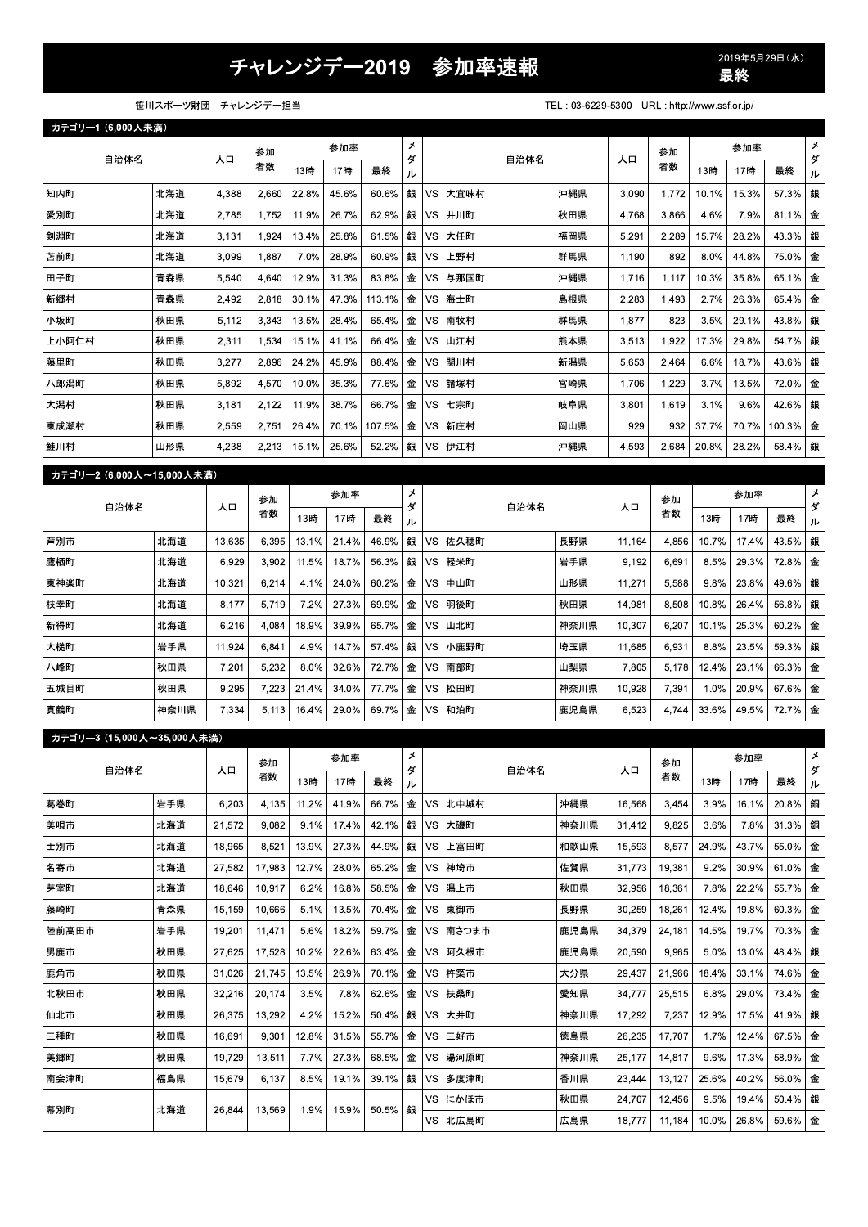## 2019 参加率速報 <sup>2019</sup>#

|                                                                                                                                         |                    |        |        |       |       |        |        |           | チャレンジデー2019 参加率速報     |                                              |                  |                  |               | 2019年5月29日(水)<br>最終 |                |                                                |
|-----------------------------------------------------------------------------------------------------------------------------------------|--------------------|--------|--------|-------|-------|--------|--------|-----------|-----------------------|----------------------------------------------|------------------|------------------|---------------|---------------------|----------------|------------------------------------------------|
|                                                                                                                                         | 笹川スポーツ財団 チャレンジデー担当 |        |        |       |       |        |        |           |                       | TEL: 03-6229-5300 URL: http://www.ssf.or.jp/ |                  |                  |               |                     |                |                                                |
| カテゴリー1 (6.000人未満)                                                                                                                       |                    |        |        |       |       |        |        |           |                       |                                              |                  |                  |               |                     |                |                                                |
|                                                                                                                                         | 参加率<br>参加          |        |        | メ     |       |        |        |           | 参加                    |                                              | 参加率              |                  | $\star$       |                     |                |                                                |
| 自治体名                                                                                                                                    |                    | 人口     | 者数     | 13時   | 17時   | 最終     | ダ<br>ル |           | 自治体名                  |                                              | 人口               | 者数               | 13時           | 17時                 | 最終             | ダ<br>ル                                         |
| 知内町                                                                                                                                     | 北海道                | 4,388  | 2,660  | 22.8% | 45.6% | 60.6%  | 銀      | VS        | 大宜味村                  | 沖縄県                                          | 3,090            | 1,772            | 10.1%         | 15.3%               | 57.3%          | 銀                                              |
| 愛別町                                                                                                                                     | 北海道                | 2,785  | 1,752  | 11.9% | 26.7% | 62.9%  | 銀      | VS        | 井川町                   | 秋田県                                          | 4,768            | 3,866            | 4.6%          | 7.9%                | 81.1%          | 金                                              |
| 剣淵町                                                                                                                                     | 北海道                | 3,131  | 1.924  | 13.4% | 25.8% | 61.5%  | 銀      | <b>VS</b> | 大任町                   | 福岡県                                          | 5,291            | 2,289            | 15.7%         | 28.2%               | 43.3%          | 銀                                              |
| 苫前町                                                                                                                                     | 北海道                | 3,099  | 1,887  | 7.0%  | 28.9% | 60.9%  | 銀      | VS        | 上野村                   | 群馬県                                          | 1,190            | 892              | 8.0%          | 44.8%               | 75.0%          | 金                                              |
| 田子町                                                                                                                                     | 青森県                | 5,540  | 4,640  | 12.9% | 31.3% | 83.8%  | 金      | VS        | 与那国町                  | 沖縄県                                          | 1,716            | 1,117            | 10.3%         | 35.8%               | 65.1%          | 金                                              |
| 新郷村                                                                                                                                     | 青森県                | 2,492  | 2,818  | 30.1% | 47.3% | 113.1% | 金      | VS        | 海士町                   | 島根県                                          | 2,283            | 1,493            | 2.7%          | 26.3%               | 65.4%          | 金                                              |
| 小坂町                                                                                                                                     | 秋田県                | 5,112  | 3,343  | 13.5% | 28.4% | 65.4%  | 金      | VS        | 南牧村                   | 群馬県                                          | 1,877            | 823              | 3.5%          | 29.1%               | 43.8%          | 銀                                              |
| 上小阿仁村                                                                                                                                   | 秋田県                | 2,311  | 1,534  | 15.1% | 41.1% | 66.4%  | 金      | VS        | 山江村                   | 熊本県                                          | 3,513            | 1,922            | 17.3%         | 29.8%               | 54.7%          | 銀                                              |
| 藤里町                                                                                                                                     | 秋田県                | 3.277  | 2.896  | 24.2% | 45.9% | 88.4%  | 金      | VS        | 関川村                   | 新潟県                                          | 5.653            | 2.464            | 6.6%          | 18.7%               | 43.6%          | 銀                                              |
| 八郎潟町                                                                                                                                    | 秋田県                | 5,892  | 4,570  | 10.0% | 35.3% | 77.6%  | 金      | VS        | 諸塚村                   | 宮崎県                                          | 1,706            | 1,229            | 3.7%          | 13.5%               | 72.0%          | 金                                              |
| 大潟村                                                                                                                                     | 秋田県                | 3,181  | 2,122  | 11.9% | 38.7% | 66.7%  | 金      | <b>VS</b> | 七宗町                   | 岐阜県                                          | 3,801            | 1,619            | 3.1%          | 9.6%                | 42.6%          | 銀                                              |
| 東成瀬村                                                                                                                                    | 秋田県                | 2.559  | 2,751  | 26.4% | 70.1% | 107.5% | 金      | VS        | 新庄村                   | 岡山県                                          | 929              | 932              | 37.7%         | 70.7%               | 100.3%         | 金                                              |
| 鮭川村                                                                                                                                     | 山形県                | 4,238  | 2,213  | 15.1% | 25.6% | 52.2%  | 銀      | VS        | 伊江村                   | 沖縄県                                          | 4,593            | 2,684            | 20.8%         | 28.2%               | 58.4%          | 銀                                              |
| カテゴリー2 (6,000人~15,000人未満)                                                                                                               |                    |        |        |       |       |        |        |           |                       |                                              |                  |                  |               |                     |                |                                                |
|                                                                                                                                         |                    |        | 参加     |       | 参加率   |        | メ      |           |                       |                                              |                  | 参加               |               | 参加率                 |                | メ                                              |
| 自治体名                                                                                                                                    |                    | 人口     | 者数     | 13時   | 17時   | 最終     | ダ<br>ル |           | 自治体名                  |                                              | 人口               | 者数               | 13時           | 17時                 | 最終             | ダ<br>ル                                         |
| 芦別市                                                                                                                                     | 北海道                | 13,635 | 6,395  | 13.1% | 21.4% | 46.9%  | 銀      | VS        | 佐久穂町                  | 長野県                                          | 11,164           | 4,856            | 10.7%         | 17.4%               | 43.5%          | 銀                                              |
| 鷹栖町                                                                                                                                     | 北海道                | 6,929  | 3,902  | 11.5% | 18.7% | 56.3%  | 銀      | <b>VS</b> | 軽米町                   | 岩手県                                          | 9,192            | 6,691            | 8.5%          | 29.3%               | 72.8%          | 金                                              |
| 東神楽町                                                                                                                                    | 北海道                | 10,321 | 6,214  | 4.1%  | 24.0% | 60.2%  | 金      | VS        | 中山町                   | 山形県                                          | 11,271           | 5,588            | 9.8%          | 23.8%               | 49.6%          | 銀                                              |
| 枝幸町                                                                                                                                     | 北海道                | 8,177  | 5,719  | 7.2%  | 27.3% | 69.9%  | 金      | VS        | 羽後町                   | 秋田県                                          | 14,981           | 8,508            | 10.8%         | 26.4%               | 56.8%          | 銀                                              |
| 新得町                                                                                                                                     | 北海道                | 6,216  | 4,084  | 18.9% | 39.9% | 65.7%  | 金      | VS        | 山北町                   | 神奈川県                                         | 10,307           | 6,207            | 10.1%         | 25.3%               | 60.2%          | 金                                              |
| 大槌町                                                                                                                                     | 岩手県                | 11,924 | 6,841  | 4.9%  | 14.7% | 57.4%  |        | 銀 VS      | 小鹿野町                  | 埼玉県                                          | 11,685           | 6,931            | 8.8%          | 23.5%               | 59.3%          | 銀                                              |
| 八峰町                                                                                                                                     | 秋田県                | 7,201  | 5,232  | 8.0%  | 32.6% | 72.7%  |        |           | 金 VS 南部町              | 山梨県                                          | 7,805            | 5,178            | 12.4%         | 23.1%               | 66.3%          | 金                                              |
| 五城目町                                                                                                                                    | 秋田県                | 9,295  | 7,223  | 21.4% | 34.0% | 77.7%  |        |           | 金 VS 松田町              | 神奈川県                                         | 10,928           | 7,391            | 1.0%          | 20.9%               | 67.6%          | 金                                              |
|                                                                                                                                         |                    |        | 5,113  | 16.4% | 29.0% | 69.7%  |        |           | 金 VS 和泊町              | 鹿児島県                                         | 6,523            | 4,744            | 33.6%         | 49.5%               | 72.7%          | 金                                              |
|                                                                                                                                         | 神奈川県               | 7,334  |        |       |       |        |        |           |                       |                                              |                  |                  |               |                     |                |                                                |
|                                                                                                                                         |                    |        |        |       |       |        |        |           |                       |                                              |                  |                  |               |                     |                |                                                |
|                                                                                                                                         |                    |        |        |       |       |        |        |           |                       |                                              |                  |                  |               |                     |                |                                                |
| 自治体名                                                                                                                                    |                    | 人口     | 参加     |       | 参加率   |        | メ<br>ダ |           | 自治体名                  |                                              | 人口               | 参加               |               | 参加率                 |                | メ<br>ダ                                         |
|                                                                                                                                         |                    |        | 者数     | 13時   | 17時   | 最終     | ル      |           |                       |                                              |                  | 者数               | 13時           | 17時                 | 最終             | ル                                              |
|                                                                                                                                         | 岩手県                | 6,203  | 4,135  | 11.2% | 41.9% | 66.7%  |        |           | 金   VS   北中城村         | 沖縄県                                          | 16,568           | 3,454            | 3.9%          | 16.1%               | 20.8%          | 銅                                              |
|                                                                                                                                         | 北海道                | 21,572 | 9,082  | 9.1%  | 17.4% | 42.1%  |        |           | 銀 VS 大磯町              | 神奈川県                                         | 31,412           | 9,825            | 3.6%          | 7.8%                | 31.3%          |                                                |
|                                                                                                                                         | 北海道                | 18,965 | 8,521  | 13.9% | 27.3% | 44.9%  |        | 銀 VS      | 上富田町                  | 和歌山県                                         | 15,593           | 8,577            | 24.9%         | 43.7%               | 55.0%          | 銅<br>金                                         |
|                                                                                                                                         | 北海道                | 27,582 | 17,983 | 12.7% | 28.0% | 65.2%  |        |           | 金   VS   神埼市          | 佐賀県                                          | 31,773           | 19,381           | 9.2%          | 30.9%               | 61.0%          | 金                                              |
|                                                                                                                                         | 北海道                | 18,646 | 10,917 | 6.2%  | 16.8% | 58.5%  |        |           | 金   VS   潟上市          | 秋田県                                          | 32,956           | 18,361           | 7.8%          | 22.2%               | 55.7%          | 金                                              |
|                                                                                                                                         | 青森県                | 15,159 | 10,666 | 5.1%  | 13.5% | 70.4%  |        |           | 金   VS   東御市          | 長野県                                          | 30,259           | 18,261           | 12.4%         | 19.8%               | 60.3%          |                                                |
|                                                                                                                                         | 岩手県                | 19,201 | 11,471 | 5.6%  | 18.2% | 59.7%  | 金      |           | ┃VS┃南さつま市             | 鹿児島県                                         | 34,379           | 24,181           | 14.5%         | 19.7%               | 70.3%          |                                                |
|                                                                                                                                         | 秋田県                | 27,625 | 17,528 | 10.2% | 22.6% | 63.4%  | 金      |           | VS   阿久根市             | 鹿児島県                                         | 20,590           | 9,965            | 5.0%          | 13.0%               | 48.4%          |                                                |
|                                                                                                                                         | 秋田県                | 31,026 | 21,745 | 13.5% | 26.9% | 70.1%  |        |           | 金 VS 杵築市              | 大分県                                          | 29,437           | 21,966           | 18.4%         | 33.1%               | 74.6%          |                                                |
|                                                                                                                                         | 秋田県                | 32,216 | 20,174 | 3.5%  | 7.8%  | 62.6%  |        | 金 VS      | 扶桑町                   | 愛知県                                          | 34,777           | 25,515           | 6.8%          | 29.0%               | 73.4%          |                                                |
|                                                                                                                                         | 秋田県                | 26,375 | 13,292 | 4.2%  | 15.2% | 50.4%  |        |           | 銀 VS 大井町              | 神奈川県                                         | 17,292           | 7,237            | 12.9%         | 17.5%               | 41.9%          |                                                |
|                                                                                                                                         | 秋田県                | 16,691 | 9,301  | 12.8% | 31.5% | 55.7%  |        |           | 金   VS   三好市          | 徳島県                                          | 26,235           | 17,707           | 1.7%          | 12.4%               | 67.5%          |                                                |
|                                                                                                                                         | 秋田県                | 19,729 | 13,511 | 7.7%  | 27.3% | 68.5%  |        |           | 金   VS   湯河原町         | 神奈川県                                         | 25,177           | 14,817           | 9.6%          | 17.3%               | 58.9%          |                                                |
| 真鶴町<br>カテゴリー3 (15,000人~35,000人未満)<br>葛巻町<br>美唄市<br>士別市<br>名寄市<br>芽室町<br>藤崎町<br>陸前高田市<br>男鹿市<br>鹿角市<br>北秋田市<br>仙北市<br>三種町<br>美郷町<br>南会津町 | 福島県                | 15,679 | 6,137  | 8.5%  | 19.1% | 39.1%  |        | VS        | 銀   VS   多度津町<br>にかほ市 | 香川県<br>秋田県                                   | 23,444<br>24,707 | 13,127<br>12,456 | 25.6%<br>9.5% | 40.2%<br>19.4%      | 56.0%<br>50.4% | 金<br>金<br>銀<br>金<br>金<br>銀<br>金<br>金<br>金<br>銀 |